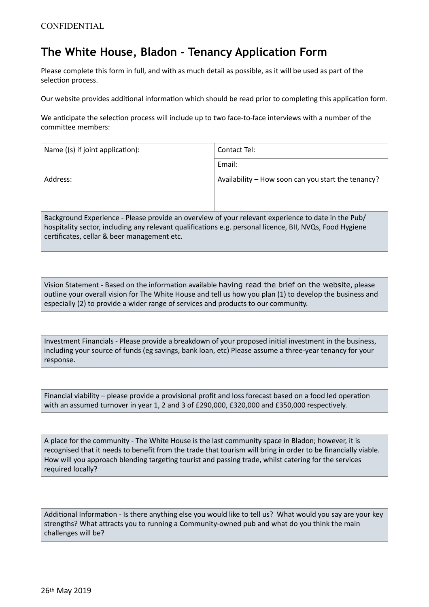## **The White House, Bladon - Tenancy Application Form**

Please complete this form in full, and with as much detail as possible, as it will be used as part of the selection process.

Our website provides additional information which should be read prior to completing this application form.

We anticipate the selection process will include up to two face-to-face interviews with a number of the committee members:

| Name ((s) if joint application):                                                                                                                                                                                                                                                                                                                | Contact Tel:                                       |
|-------------------------------------------------------------------------------------------------------------------------------------------------------------------------------------------------------------------------------------------------------------------------------------------------------------------------------------------------|----------------------------------------------------|
|                                                                                                                                                                                                                                                                                                                                                 | Email:                                             |
| Address:                                                                                                                                                                                                                                                                                                                                        | Availability - How soon can you start the tenancy? |
| Background Experience - Please provide an overview of your relevant experience to date in the Pub/<br>hospitality sector, including any relevant qualifications e.g. personal licence, BII, NVQs, Food Hygiene<br>certificates, cellar & beer management etc.                                                                                   |                                                    |
|                                                                                                                                                                                                                                                                                                                                                 |                                                    |
| Vision Statement - Based on the information available having read the brief on the website, please<br>outline your overall vision for The White House and tell us how you plan (1) to develop the business and<br>especially (2) to provide a wider range of services and products to our community.                                            |                                                    |
|                                                                                                                                                                                                                                                                                                                                                 |                                                    |
| Investment Financials - Please provide a breakdown of your proposed initial investment in the business,<br>including your source of funds (eg savings, bank loan, etc) Please assume a three-year tenancy for your<br>response.                                                                                                                 |                                                    |
|                                                                                                                                                                                                                                                                                                                                                 |                                                    |
| Financial viability – please provide a provisional profit and loss forecast based on a food led operation<br>with an assumed turnover in year 1, 2 and 3 of £290,000, £320,000 and £350,000 respectively.                                                                                                                                       |                                                    |
|                                                                                                                                                                                                                                                                                                                                                 |                                                    |
| A place for the community - The White House is the last community space in Bladon; however, it is<br>recognised that it needs to benefit from the trade that tourism will bring in order to be financially viable.<br>How will you approach blending targeting tourist and passing trade, whilst catering for the services<br>required locally? |                                                    |
|                                                                                                                                                                                                                                                                                                                                                 |                                                    |
| Additional Information - Is there anything else you would like to tell us? What would you say are your key                                                                                                                                                                                                                                      |                                                    |

strengths? What attracts you to running a Community-owned pub and what do you think the main challenges will be?